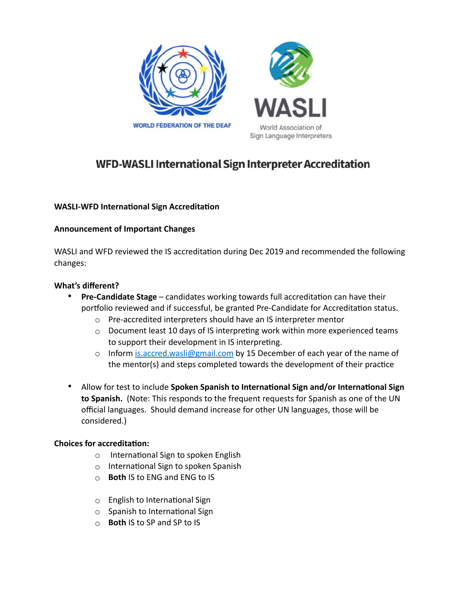

# WFD-WASLI International Sign Interpreter Accreditation

## **WASLI-WFD International Sign Accreditation**

#### **Announcement of Important Changes**

WASLI and WFD reviewed the IS accreditation during Dec 2019 and recommended the following changes:

#### **What's different?**

- **Pre-Candidate Stage** candidates working towards full accreditation can have their portfolio reviewed and if successful, be granted Pre-Candidate for Accreditation status.
	- o Pre-accredited interpreters should have an IS interpreter mentor
	- o Document least 10 days of IS interpreting work within more experienced teams to support their development in IS interpreting.
	- $\circ$  Inform [is.accred.wasli@gmail.com](mailto:is.accred.wasli@gmail.com) by 15 December of each year of the name of the mentor(s) and steps completed towards the development of their practice
- Allow for test to include **Spoken Spanish to International Sign and/or International Sign to Spanish.** (Note: This responds to the frequent requests for Spanish as one of the UN official languages. Should demand increase for other UN languages, those will be considered.)

#### **Choices for accreditation:**

- o International Sign to spoken English
- o International Sign to spoken Spanish
- o **Both** IS to ENG and ENG to IS
- o English to International Sign
- $\circ$  Spanish to International Sign
- o **Both** IS to SP and SP to IS